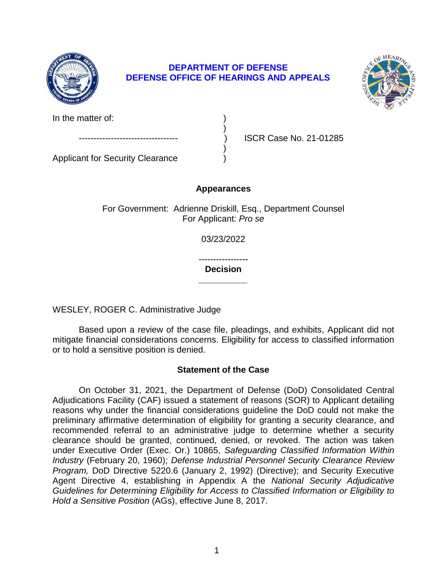

# **DEPARTMENT OF DEFENSE DEFENSE OFFICE OF HEARINGS AND APPEALS**

)



In the matter of:

 $)$ 

ISCR Case No. 21-01285

Applicant for Security Clearance )

**Appearances** 

For Government: Adrienne Driskill, Esq., Department Counsel For Applicant: *Pro se* 

03/23/2022

----------------- **\_\_\_\_\_\_\_\_\_\_ Decision** 

WESLEY, ROGER C. Administrative Judge

 Based upon a review of the case file, pleadings, and exhibits, Applicant did not mitigate financial considerations concerns. Eligibility for access to classified information or to hold a sensitive position is denied.

# **Statement of the Case**

 On October 31, 2021, the Department of Defense (DoD) Consolidated Central reasons why under the financial considerations guideline the DoD could not make the preliminary affirmative determination of eligibility for granting a security clearance, and recommended referral to an administrative judge to determine whether a security clearance should be granted, continued, denied, or revoked. The action was taken *Industry* (February 20, 1960); *Defense Industrial Personnel Security Clearance Review Program,* DoD Directive 5220.6 (January 2, 1992) (Directive); and Security Executive Agent Directive 4, establishing in Appendix A the *National Security Adjudicative Guidelines for Determining Eligibility for Access to Classified Information or Eligibility to*  Adjudications Facility (CAF) issued a statement of reasons (SOR) to Applicant detailing under Executive Order (Exec. Or.) 10865, *Safeguarding Classified Information Within Hold a Sensitive Position* (AGs), effective June 8, 2017.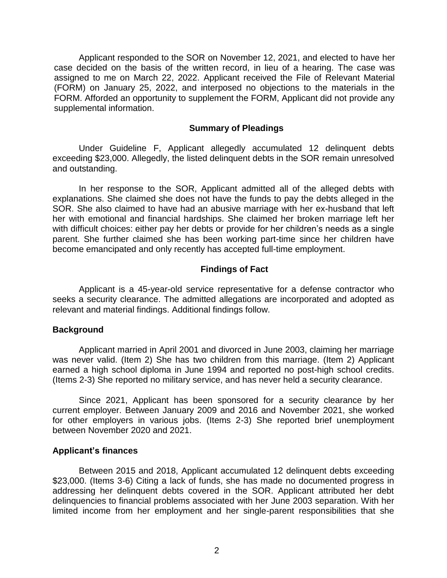Applicant responded to the SOR on November 12, 2021, and elected to have her case decided on the basis of the written record, in lieu of a hearing. The case was assigned to me on March 22, 2022. Applicant received the File of Relevant Material (FORM) on January 25, 2022, and interposed no objections to the materials in the FORM. Afforded an opportunity to supplement the FORM, Applicant did not provide any supplemental information.

### **Summary of Pleadings**

 exceeding \$23,000. Allegedly, the listed delinquent debts in the SOR remain unresolved Under Guideline F, Applicant allegedly accumulated 12 delinquent debts and outstanding.

 In her response to the SOR, Applicant admitted all of the alleged debts with explanations. She claimed she does not have the funds to pay the debts alleged in the SOR. She also claimed to have had an abusive marriage with her ex-husband that left her with emotional and financial hardships. She claimed her broken marriage left her with difficult choices: either pay her debts or provide for her children's needs as a single parent. She further claimed she has been working part-time since her children have become emancipated and only recently has accepted full-time employment.

## **Findings of Fact**

 seeks a security clearance. The admitted allegations are incorporated and adopted as Applicant is a 45-year-old service representative for a defense contractor who relevant and material findings. Additional findings follow.

### **Background**

 Applicant married in April 2001 and divorced in June 2003, claiming her marriage was never valid. (Item 2) She has two children from this marriage. (Item 2) Applicant earned a high school diploma in June 1994 and reported no post-high school credits. (Items 2-3) She reported no military service, and has never held a security clearance.

 Since 2021, Applicant has been sponsored for a security clearance by her current employer. Between January 2009 and 2016 and November 2021, she worked for other employers in various jobs. (Items 2-3) She reported brief unemployment between November 2020 and 2021.

### **Applicant's finances**

 Between 2015 and 2018, Applicant accumulated 12 delinquent debts exceeding \$23,000. (Items 3-6) Citing a lack of funds, she has made no documented progress in addressing her delinquent debts covered in the SOR. Applicant attributed her debt delinquencies to financial problems associated with her June 2003 separation. With her limited income from her employment and her single-parent responsibilities that she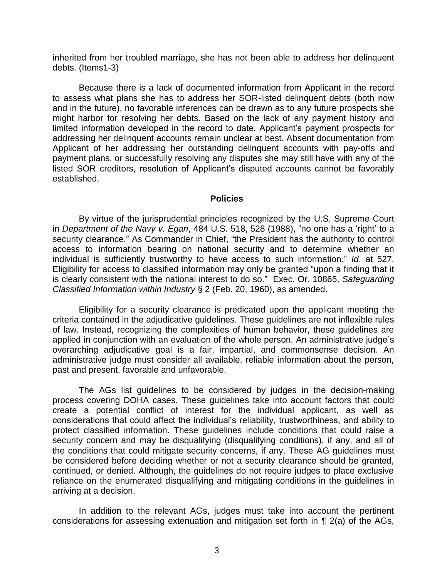inherited from her troubled marriage, she has not been able to address her delinquent debts. (Items1-3)

 Because there is a lack of documented information from Applicant in the record to assess what plans she has to address her SOR-listed delinquent debts (both now and in the future), no favorable inferences can be drawn as to any future prospects she might harbor for resolving her debts. Based on the lack of any payment history and limited information developed in the record to date, Applicant's payment prospects for addressing her delinquent accounts remain unclear at best. Absent documentation from payment plans, or successfully resolving any disputes she may still have with any of the listed SOR creditors, resolution of Applicant's disputed accounts cannot be favorably Applicant of her addressing her outstanding delinquent accounts with pay-offs and established.

### **Policies**

 By virtue of the jurisprudential principles recognized by the U.S. Supreme Court  in *Department of the Navy v. Egan*, 484 U.S. 518, 528 (1988), "no one has a 'right' to a security clearance." As Commander in Chief, "the President has the authority to control access to information bearing on national security and to determine whether an individual is sufficiently trustworthy to have access to such information." *Id*. at 527. Eligibility for access to classified information may only be granted "upon a finding that it is clearly consistent with the national interest to do so." Exec. Or. 10865, *Safeguarding*  Classified Information within Industry § 2 (Feb. 20, 1960), as amended.

*Classified Information within Industry* § 2 (Feb. 20, 1960), as amended.<br>Eligibility for a security clearance is predicated upon the applicant meeting the criteria contained in the adjudicative guidelines. These guidelines are not inflexible rules of law. Instead, recognizing the complexities of human behavior, these guidelines are applied in conjunction with an evaluation of the whole person. An administrative judge's administrative judge must consider all available, reliable information about the person, overarching adjudicative goal is a fair, impartial, and commonsense decision. An past and present, favorable and unfavorable.

 The AGs list guidelines to be considered by judges in the decision-making process covering DOHA cases. These guidelines take into account factors that could create a potential conflict of interest for the individual applicant, as well as considerations that could affect the individual's reliability, trustworthiness, and ability to protect classified information. These guidelines include conditions that could raise a security concern and may be disqualifying (disqualifying conditions), if any, and all of the conditions that could mitigate security concerns, if any. These AG guidelines must be considered before deciding whether or not a security clearance should be granted, continued, or denied. Although, the guidelines do not require judges to place exclusive reliance on the enumerated disqualifying and mitigating conditions in the guidelines in arriving at a decision.

 In addition to the relevant AGs, judges must take into account the pertinent considerations for assessing extenuation and mitigation set forth in ¶ 2(a) of the AGs,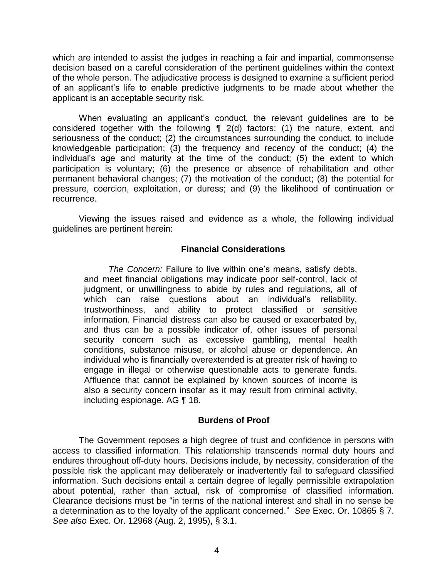which are intended to assist the judges in reaching a fair and impartial, commonsense decision based on a careful consideration of the pertinent guidelines within the context of an applicant's life to enable predictive judgments to be made about whether the of the whole person. The adjudicative process is designed to examine a sufficient period applicant is an acceptable security risk.

When evaluating an applicant's conduct, the relevant guidelines are to be considered together with the following ¶ 2(d) factors: (1) the nature, extent, and seriousness of the conduct; (2) the circumstances surrounding the conduct, to include knowledgeable participation; (3) the frequency and recency of the conduct; (4) the individual's age and maturity at the time of the conduct; (5) the extent to which participation is voluntary; (6) the presence or absence of rehabilitation and other permanent behavioral changes; (7) the motivation of the conduct; (8) the potential for pressure, coercion, exploitation, or duress; and (9) the likelihood of continuation or recurrence.

 Viewing the issues raised and evidence as a whole, the following individual guidelines are pertinent herein:

### **Financial Considerations**

 *The Concern:* Failure to live within one's means, satisfy debts, and meet financial obligations may indicate poor self-control, lack of judgment, or unwillingness to abide by rules and regulations, all of which can raise questions about an individual's reliability, trustworthiness, and ability to protect classified or sensitive information. Financial distress can also be caused or exacerbated by, and thus can be a possible indicator of, other issues of personal security concern such as excessive gambling, mental health conditions, substance misuse, or alcohol abuse or dependence. An individual who is financially overextended is at greater risk of having to engage in illegal or otherwise questionable acts to generate funds. Affluence that cannot be explained by known sources of income is also a security concern insofar as it may result from criminal activity, including espionage. AG ¶ 18.

### **Burdens of Proof**

 The Government reposes a high degree of trust and confidence in persons with access to classified information. This relationship transcends normal duty hours and endures throughout off-duty hours. Decisions include, by necessity, consideration of the possible risk the applicant may deliberately or inadvertently fail to safeguard classified information. Such decisions entail a certain degree of legally permissible extrapolation about potential, rather than actual, risk of compromise of classified information. Clearance decisions must be "in terms of the national interest and shall in no sense be a determination as to the loyalty of the applicant concerned." *See* Exec. Or. 10865 § 7. *See also* Exec. Or. 12968 (Aug. 2, 1995), § 3.1.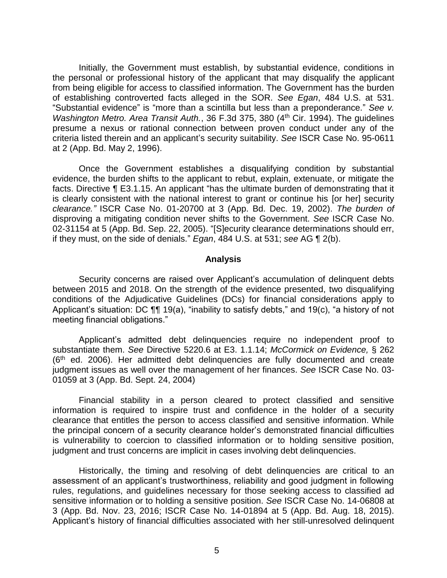Initially, the Government must establish, by substantial evidence, conditions in the personal or professional history of the applicant that may disqualify the applicant from being eligible for access to classified information. The Government has the burden of establishing controverted facts alleged in the SOR. *See Egan*, 484 U.S. at 531. "Substantial evidence" is "more than a scintilla but less than a preponderance." *See v. Washington Metro. Area Transit Auth.*, 36 F.3d 375, 380 (4<sup>th</sup> Cir. 1994). The quidelines presume a nexus or rational connection between proven conduct under any of the criteria listed therein and an applicant's security suitability. *See* ISCR Case No. 95-0611 at 2 (App. Bd. May 2, 1996).

 Once the Government establishes a disqualifying condition by substantial evidence, the burden shifts to the applicant to rebut, explain, extenuate, or mitigate the facts. Directive ¶ E3.1.15. An applicant "has the ultimate burden of demonstrating that it is clearly consistent with the national interest to grant or continue his [or her] security *clearance."* ISCR Case No. 01-20700 at 3 (App. Bd. Dec. 19, 2002). *The burden of*  disproving a mitigating condition never shifts to the Government. *See* ISCR Case No. 02-31154 at 5 (App. Bd. Sep. 22, 2005). "[S]ecurity clearance determinations should err, if they must, on the side of denials." *Egan*, 484 U.S. at 531; *see* AG ¶ 2(b).

#### **Analysis**

 Security concerns are raised over Applicant's accumulation of delinquent debts between 2015 and 2018. On the strength of the evidence presented, two disqualifying conditions of the Adjudicative Guidelines (DCs) for financial considerations apply to Applicant's situation: DC ¶¶ 19(a), "inability to satisfy debts," and 19(c), "a history of not meeting financial obligations."

Applicant's admitted debt delinquencies require no independent proof to substantiate them. *See* Directive 5220.6 at E3. 1.1.14; *McCormick on Evidence,* § 262 (6th ed. 2006). Her admitted debt delinquencies are fully documented and create judgment issues as well over the management of her finances. *See* ISCR Case No. 03- 01059 at 3 (App. Bd. Sept. 24, 2004)

 Financial stability in a person cleared to protect classified and sensitive information is required to inspire trust and confidence in the holder of a security clearance that entitles the person to access classified and sensitive information. While the principal concern of a security clearance holder's demonstrated financial difficulties is vulnerability to coercion to classified information or to holding sensitive position, judgment and trust concerns are implicit in cases involving debt delinquencies.

Historically, the timing and resolving of debt delinquencies are critical to an assessment of an applicant's trustworthiness, reliability and good judgment in following rules, regulations, and guidelines necessary for those seeking access to classified ad sensitive information or to holding a sensitive position. *See* ISCR Case No. 14-06808 at 3 (App. Bd. Nov. 23, 2016; ISCR Case No. 14-01894 at 5 (App. Bd. Aug. 18, 2015). Applicant's history of financial difficulties associated with her still-unresolved delinquent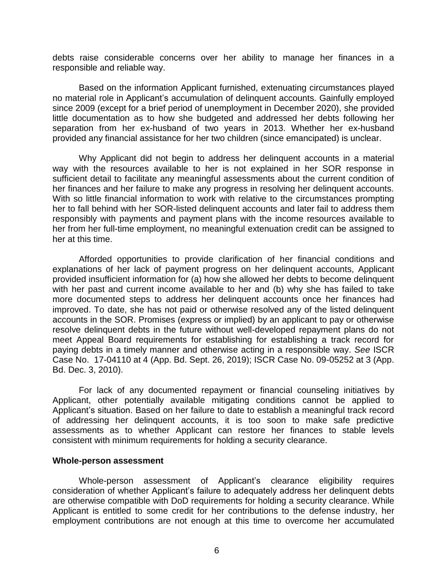debts raise considerable concerns over her ability to manage her finances in a responsible and reliable way.

 Based on the information Applicant furnished, extenuating circumstances played no material role in Applicant's accumulation of delinquent accounts. Gainfully employed little documentation as to how she budgeted and addressed her debts following her separation from her ex-husband of two years in 2013. Whether her ex-husband since 2009 (except for a brief period of unemployment in December 2020), she provided provided any financial assistance for her two children (since emancipated) is unclear.

 Why Applicant did not begin to address her delinquent accounts in a material way with the resources available to her is not explained in her SOR response in sufficient detail to facilitate any meaningful assessments about the current condition of her finances and her failure to make any progress in resolving her delinquent accounts. With so little financial information to work with relative to the circumstances prompting her to fall behind with her SOR-listed delinquent accounts and later fail to address them responsibly with payments and payment plans with the income resources available to her from her full-time employment, no meaningful extenuation credit can be assigned to her at this time.

 Afforded opportunities to provide clarification of her financial conditions and with her past and current income available to her and (b) why she has failed to take improved. To date, she has not paid or otherwise resolved any of the listed delinquent accounts in the SOR. Promises (express or implied) by an applicant to pay or otherwise resolve delinquent debts in the future without well-developed repayment plans do not meet Appeal Board requirements for establishing for establishing a track record for paying debts in a timely manner and otherwise acting in a responsible way. *See* ISCR Case No. 17-04110 at 4 (App. Bd. Sept. 26, 2019); ISCR Case No. 09-05252 at 3 (App. explanations of her lack of payment progress on her delinquent accounts, Applicant provided insufficient information for (a) how she allowed her debts to become delinquent more documented steps to address her delinquent accounts once her finances had Bd. Dec. 3, 2010).

 Applicant, other potentially available mitigating conditions cannot be applied to Applicant's situation. Based on her failure to date to establish a meaningful track record of addressing her delinquent accounts, it is too soon to make safe predictive assessments as to whether Applicant can restore her finances to stable levels For lack of any documented repayment or financial counseling initiatives by consistent with minimum requirements for holding a security clearance.

### **Whole-person assessment**

 Whole-person assessment of Applicant's clearance eligibility requires consideration of whether Applicant's failure to adequately address her delinquent debts are otherwise compatible with DoD requirements for holding a security clearance. While Applicant is entitled to some credit for her contributions to the defense industry, her employment contributions are not enough at this time to overcome her accumulated